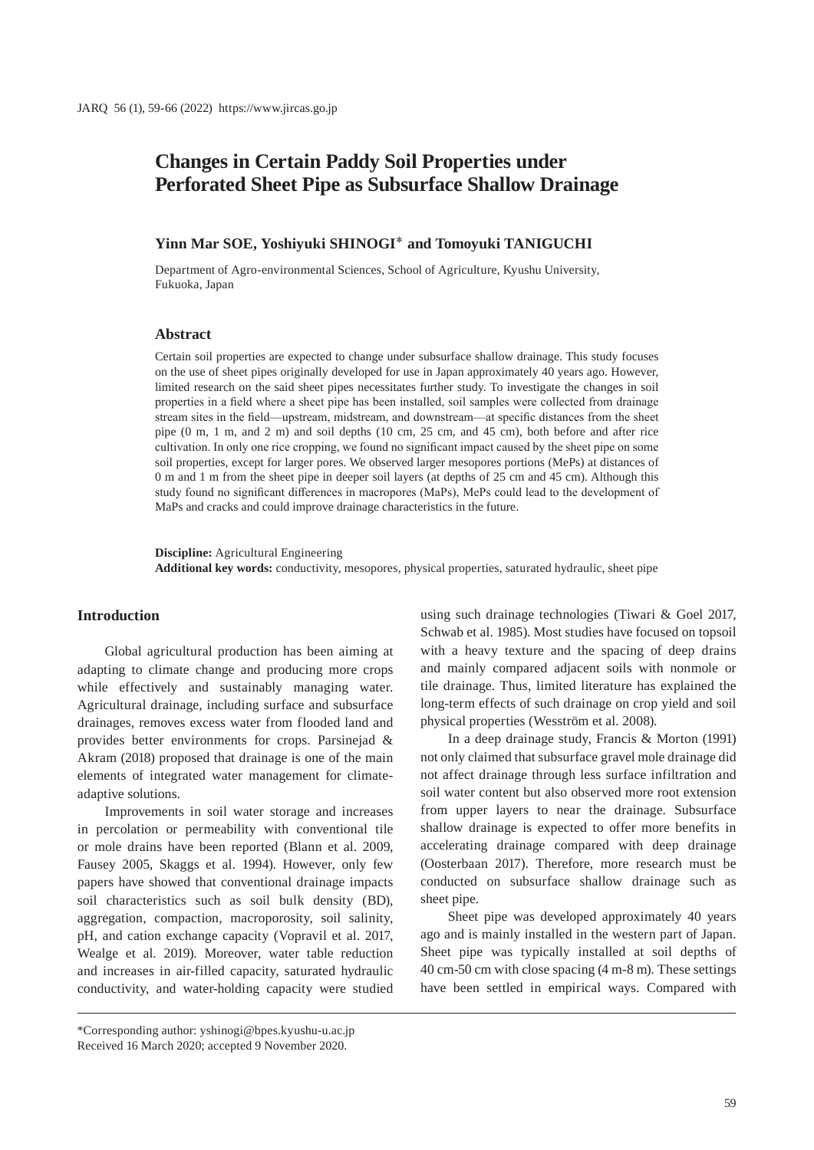# **Changes in Certain Paddy Soil Properties under Perforated Sheet Pipe as Subsurface Shallow Drainage**

## **Yinn Mar SOE, Yoshiyuki SHINOGI**\* **and Tomoyuki TANIGUCHI**

Department of Agro-environmental Sciences, School of Agriculture, Kyushu University, Fukuoka, Japan

## **Abstract**

Certain soil properties are expected to change under subsurface shallow drainage. This study focuses on the use of sheet pipes originally developed for use in Japan approximately 40 years ago. However, limited research on the said sheet pipes necessitates further study. To investigate the changes in soil properties in a field where a sheet pipe has been installed, soil samples were collected from drainage stream sites in the field—upstream, midstream, and downstream—at specific distances from the sheet pipe (0 m, 1 m, and 2 m) and soil depths (10 cm, 25 cm, and 45 cm), both before and after rice cultivation. In only one rice cropping, we found no significant impact caused by the sheet pipe on some soil properties, except for larger pores. We observed larger mesopores portions (MePs) at distances of 0 m and 1 m from the sheet pipe in deeper soil layers (at depths of 25 cm and 45 cm). Although this study found no significant differences in macropores (MaPs), MePs could lead to the development of MaPs and cracks and could improve drainage characteristics in the future.

**Discipline:** Agricultural Engineering **Additional key words:** conductivity, mesopores, physical properties, saturated hydraulic, sheet pipe

### **Introduction**

Global agricultural production has been aiming at adapting to climate change and producing more crops while effectively and sustainably managing water. Agricultural drainage, including surface and subsurface drainages, removes excess water from flooded land and provides better environments for crops. Parsinejad & Akram (2018) proposed that drainage is one of the main elements of integrated water management for climateadaptive solutions.

Improvements in soil water storage and increases in percolation or permeability with conventional tile or mole drains have been reported (Blann et al. 2009, Fausey 2005, Skaggs et al. 1994). However, only few papers have showed that conventional drainage impacts soil characteristics such as soil bulk density (BD), aggregation, compaction, macroporosity, soil salinity, pH, and cation exchange capacity (Vopravil et al. 2017, Wealge et al. 2019). Moreover, water table reduction and increases in air-filled capacity, saturated hydraulic conductivity, and water-holding capacity were studied using such drainage technologies (Tiwari & Goel 2017, Schwab et al. 1985). Most studies have focused on topsoil with a heavy texture and the spacing of deep drains and mainly compared adjacent soils with nonmole or tile drainage. Thus, limited literature has explained the long-term effects of such drainage on crop yield and soil physical properties (Wesström et al. 2008).

In a deep drainage study, Francis & Morton (1991) not only claimed that subsurface gravel mole drainage did not affect drainage through less surface infiltration and soil water content but also observed more root extension from upper layers to near the drainage. Subsurface shallow drainage is expected to offer more benefits in accelerating drainage compared with deep drainage (Oosterbaan 2017). Therefore, more research must be conducted on subsurface shallow drainage such as sheet pipe.

Sheet pipe was developed approximately 40 years ago and is mainly installed in the western part of Japan. Sheet pipe was typically installed at soil depths of 40 cm-50 cm with close spacing (4 m-8 m). These settings have been settled in empirical ways. Compared with

<sup>\*</sup>Corresponding author: yshinogi@bpes.kyushu-u.ac.jp Received 16 March 2020; accepted 9 November 2020.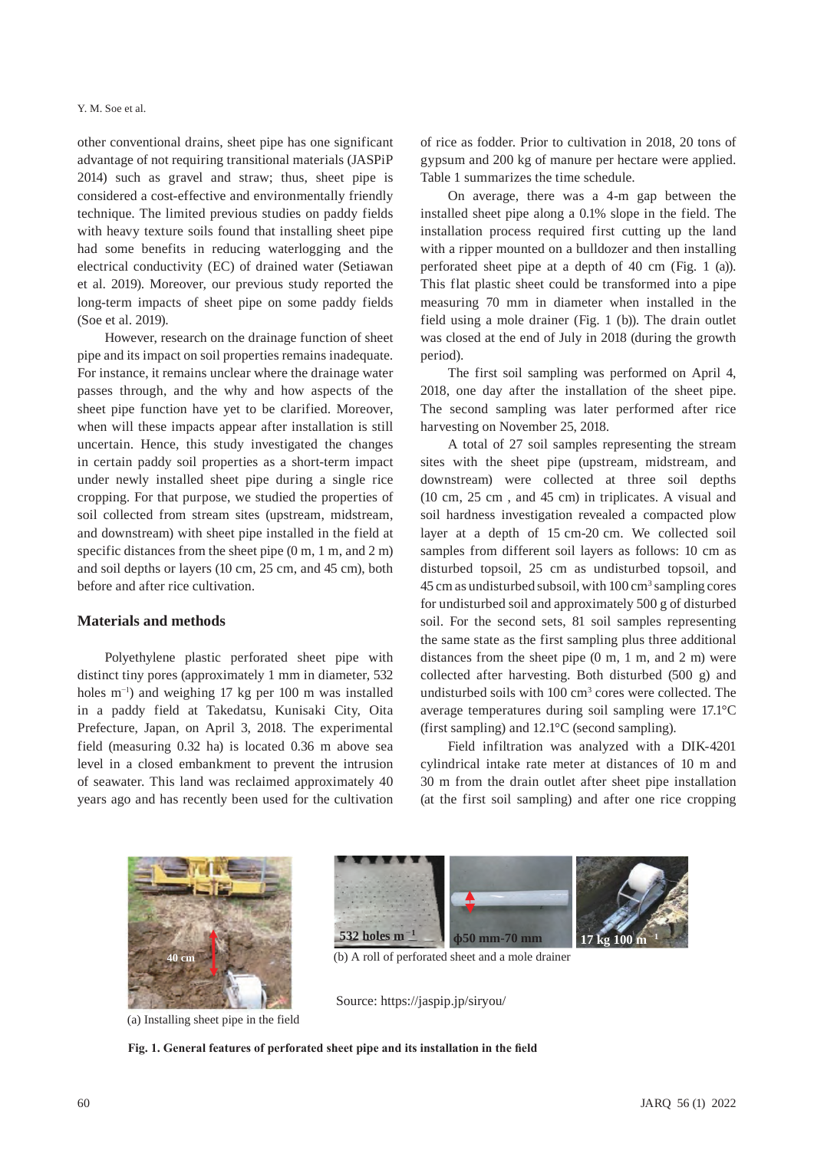#### Y. M. Soe et al.

other conventional drains, sheet pipe has one significant advantage of not requiring transitional materials (JASPiP 2014) such as gravel and straw; thus, sheet pipe is considered a cost-effective and environmentally friendly technique. The limited previous studies on paddy fields with heavy texture soils found that installing sheet pipe had some benefits in reducing waterlogging and the electrical conductivity (EC) of drained water (Setiawan et al. 2019). Moreover, our previous study reported the long-term impacts of sheet pipe on some paddy fields (Soe et al. 2019).

However, research on the drainage function of sheet pipe and its impact on soil properties remains inadequate. For instance, it remains unclear where the drainage water passes through, and the why and how aspects of the sheet pipe function have yet to be clarified. Moreover, when will these impacts appear after installation is still uncertain. Hence, this study investigated the changes in certain paddy soil properties as a short-term impact under newly installed sheet pipe during a single rice cropping. For that purpose, we studied the properties of soil collected from stream sites (upstream, midstream, and downstream) with sheet pipe installed in the field at specific distances from the sheet pipe (0 m, 1 m, and 2 m) and soil depths or layers (10 cm, 25 cm, and 45 cm), both before and after rice cultivation.

# **Materials and methods**

Polyethylene plastic perforated sheet pipe with distinct tiny pores (approximately 1 mm in diameter, 532 holes m−1) and weighing 17 kg per 100 m was installed in a paddy field at Takedatsu, Kunisaki City, Oita Prefecture, Japan, on April 3, 2018. The experimental field (measuring 0.32 ha) is located 0.36 m above sea level in a closed embankment to prevent the intrusion of seawater. This land was reclaimed approximately 40 years ago and has recently been used for the cultivation

of rice as fodder. Prior to cultivation in 2018, 20 tons of gypsum and 200 kg of manure per hectare were applied. Table 1 summarizes the time schedule.

On average, there was a 4-m gap between the installed sheet pipe along a 0.1% slope in the field. The installation process required first cutting up the land with a ripper mounted on a bulldozer and then installing perforated sheet pipe at a depth of 40 cm (Fig. 1 (a)). This flat plastic sheet could be transformed into a pipe measuring 70 mm in diameter when installed in the field using a mole drainer (Fig. 1 (b)). The drain outlet was closed at the end of July in 2018 (during the growth period).

The first soil sampling was performed on April 4, 2018, one day after the installation of the sheet pipe. The second sampling was later performed after rice harvesting on November 25, 2018.

A total of 27 soil samples representing the stream sites with the sheet pipe (upstream, midstream, and downstream) were collected at three soil depths (10 cm, 25 cm , and 45 cm) in triplicates. A visual and soil hardness investigation revealed a compacted plow layer at a depth of 15 cm-20 cm. We collected soil samples from different soil layers as follows: 10 cm as disturbed topsoil, 25 cm as undisturbed topsoil, and 45 cm as undisturbed subsoil, with 100 cm<sup>3</sup> sampling cores for undisturbed soil and approximately 500 g of disturbed soil. For the second sets, 81 soil samples representing the same state as the first sampling plus three additional distances from the sheet pipe (0 m, 1 m, and 2 m) were collected after harvesting. Both disturbed (500 g) and undisturbed soils with 100 cm<sup>3</sup> cores were collected. The average temperatures during soil sampling were 17.1°C (first sampling) and 12.1°C (second sampling).

Field infiltration was analyzed with a DIK-4201 cylindrical intake rate meter at distances of 10 m and 30 m from the drain outlet after sheet pipe installation (at the first soil sampling) and after one rice cropping



(a) Installing sheet pipe in the field



**40 cm** (b) A roll of perforated sheet and a mole drainer

Source: https://jaspip.jp/siryou/

**Fig. 1. General features of perforated sheet pipe and its installation in the field**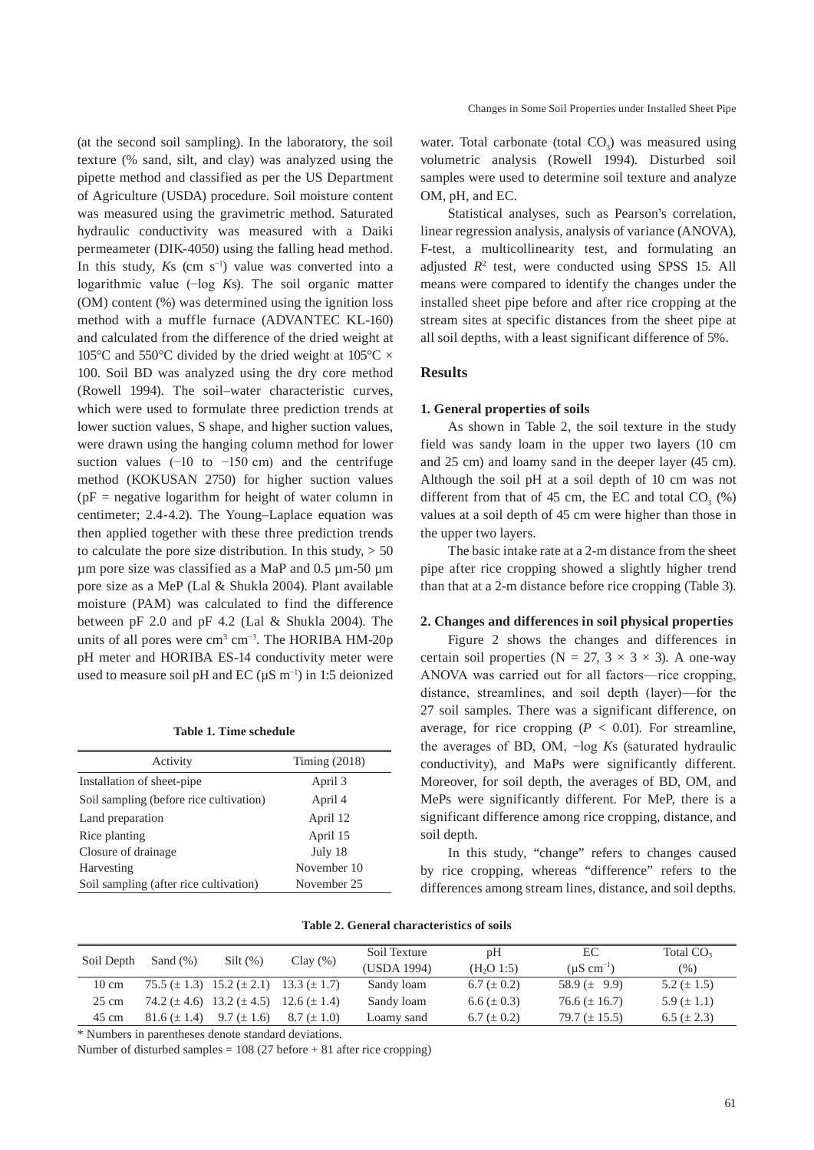(at the second soil sampling). In the laboratory, the soil texture (% sand, silt, and clay) was analyzed using the pipette method and classified as per the US Department of Agriculture (USDA) procedure. Soil moisture content was measured using the gravimetric method. Saturated hydraulic conductivity was measured with a Daiki permeameter (DIK-4050) using the falling head method. In this study,  $Ks$  (cm s<sup>-1</sup>) value was converted into a logarithmic value (−log *K*s). The soil organic matter (OM) content (%) was determined using the ignition loss method with a muffle furnace (ADVANTEC KL-160) and calculated from the difference of the dried weight at 105 $\degree$ C and 550 $\degree$ C divided by the dried weight at 105 $\degree$ C  $\times$ 100. Soil BD was analyzed using the dry core method (Rowell 1994). The soil–water characteristic curves, which were used to formulate three prediction trends at lower suction values, S shape, and higher suction values, were drawn using the hanging column method for lower suction values  $(-10 \text{ to } -150 \text{ cm})$  and the centrifuge method (KOKUSAN 2750) for higher suction values  $(pF =$  negative logarithm for height of water column in centimeter; 2.4-4.2). The Young–Laplace equation was then applied together with these three prediction trends to calculate the pore size distribution. In this study,  $> 50$ µm pore size was classified as a MaP and 0.5 µm-50 µm pore size as a MeP (Lal & Shukla 2004). Plant available moisture (PAM) was calculated to find the difference between pF 2.0 and pF 4.2 (Lal & Shukla 2004). The units of all pores were  $\text{cm}^3 \text{ cm}^{-3}$ . The HORIBA HM-20p pH meter and HORIBA ES-14 conductivity meter were used to measure soil pH and EC ( $\mu$ S m<sup>-1</sup>) in 1:5 deionized

**Table 1. Time schedule**

| Activity                                | Timing $(2018)$ |
|-----------------------------------------|-----------------|
| Installation of sheet-pipe              | April 3         |
| Soil sampling (before rice cultivation) | April 4         |
| Land preparation                        | April 12        |
| Rice planting                           | April 15        |
| Closure of drainage                     | July 18         |
| Harvesting                              | November 10     |
| Soil sampling (after rice cultivation)  | November 25     |

water. Total carbonate (total  $CO<sub>3</sub>$ ) was measured using volumetric analysis (Rowell 1994). Disturbed soil samples were used to determine soil texture and analyze OM, pH, and EC.

Statistical analyses, such as Pearson's correlation, linear regression analysis, analysis of variance (ANOVA), F-test, a multicollinearity test, and formulating an adjusted  $R^2$  test, were conducted using SPSS 15. All means were compared to identify the changes under the installed sheet pipe before and after rice cropping at the stream sites at specific distances from the sheet pipe at all soil depths, with a least significant difference of 5%.

## **Results**

#### **1. General properties of soils**

As shown in Table 2, the soil texture in the study field was sandy loam in the upper two layers (10 cm and 25 cm) and loamy sand in the deeper layer (45 cm). Although the soil pH at a soil depth of 10 cm was not different from that of 45 cm, the EC and total  $CO<sub>3</sub>$  (%) values at a soil depth of 45 cm were higher than those in the upper two layers.

The basic intake rate at a 2-m distance from the sheet pipe after rice cropping showed a slightly higher trend than that at a 2-m distance before rice cropping (Table 3).

## **2. Changes and differences in soil physical properties**

Figure 2 shows the changes and differences in certain soil properties (N = 27, 3  $\times$  3  $\times$  3). A one-way ANOVA was carried out for all factors—rice cropping, distance, streamlines, and soil depth (layer)—for the 27 soil samples. There was a significant difference, on average, for rice cropping  $(P < 0.01)$ . For streamline, the averages of BD, OM, −log *K*s (saturated hydraulic conductivity), and MaPs were significantly different. Moreover, for soil depth, the averages of BD, OM, and MePs were significantly different. For MeP, there is a significant difference among rice cropping, distance, and soil depth.

In this study, "change" refers to changes caused by rice cropping, whereas "difference" refers to the differences among stream lines, distance, and soil depths.

| Soil Depth      | Sand $(\%)$        | $Silt(\%)$                          | Clay(%)            | Soil Texture | pH                     | EC                        | Total $CO3$      |
|-----------------|--------------------|-------------------------------------|--------------------|--------------|------------------------|---------------------------|------------------|
|                 |                    |                                     |                    | (USDA 1994)  | (H <sub>2</sub> O 1:5) | $(\mu S \text{ cm}^{-1})$ | $(\%)$           |
| $10 \text{ cm}$ |                    | $75.5 (\pm 1.3)$ 15.2 ( $\pm 2.1$ ) | $13.3 \ (\pm 1.7)$ | Sandy loam   | $6.7 (\pm 0.2)$        | 58.9 $(\pm 9.9)$          | 5.2 ( $\pm$ 1.5) |
| $25 \text{ cm}$ |                    | 74.2 ( $\pm$ 4.6) 13.2 ( $\pm$ 4.5) | $12.6 \ (\pm 1.4)$ | Sandy loam   | $6.6 (\pm 0.3)$        | $76.6 (\pm 16.7)$         | 5.9 $(\pm 1.1)$  |
| 45 cm           | $81.6 \ (\pm 1.4)$ | $9.7 (\pm 1.6)$                     | $8.7 (\pm 1.0)$    | Loamy sand   | $6.7 (\pm 0.2)$        | 79.7 $(\pm 15.5)$         | $6.5 (\pm 2.3)$  |

\* Numbers in parentheses denote standard deviations.

Number of disturbed samples = 108 (27 before + 81 after rice cropping)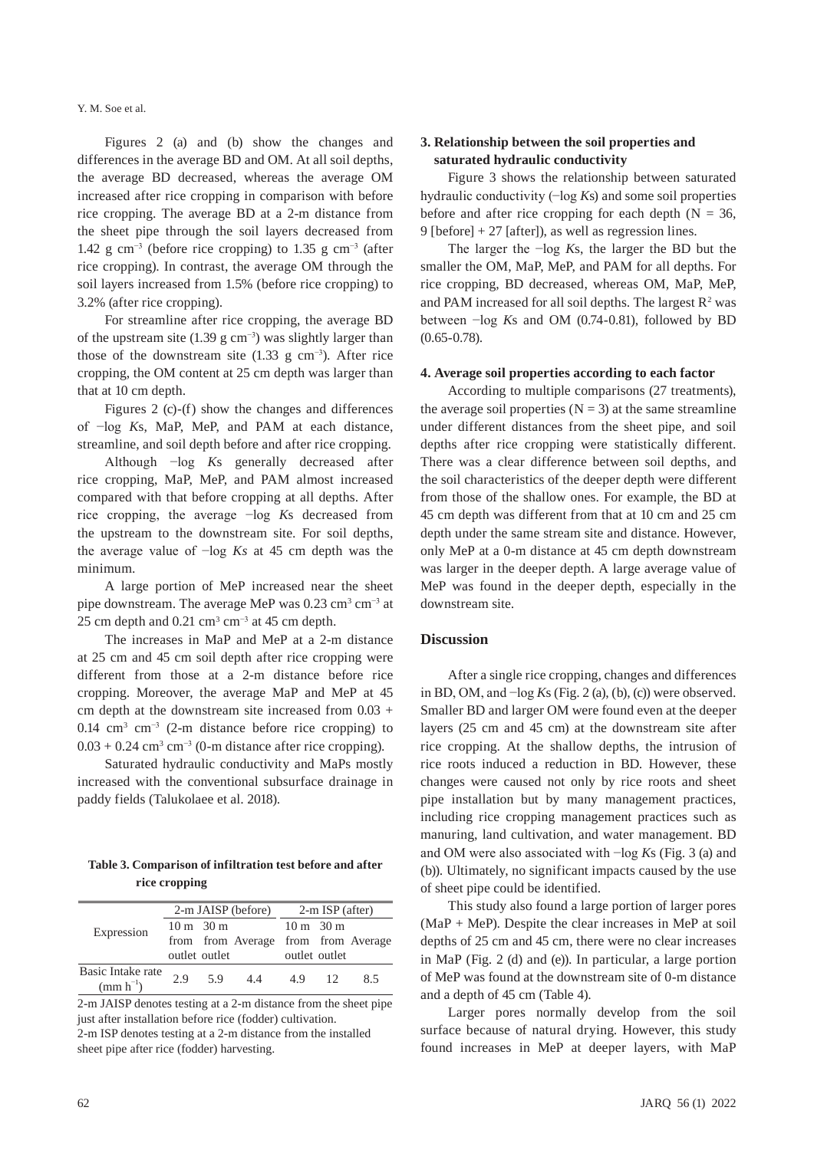Y. M. Soe et al.

Figures 2 (a) and (b) show the changes and differences in the average BD and OM. At all soil depths, the average BD decreased, whereas the average OM increased after rice cropping in comparison with before rice cropping. The average BD at a 2-m distance from the sheet pipe through the soil layers decreased from 1.42 g cm<sup>-3</sup> (before rice cropping) to 1.35 g cm<sup>-3</sup> (after rice cropping). In contrast, the average OM through the soil layers increased from 1.5% (before rice cropping) to 3.2% (after rice cropping).

For streamline after rice cropping, the average BD of the upstream site (1.39 g cm−3) was slightly larger than those of the downstream site  $(1.33 \text{ g cm}^{-3})$ . After rice cropping, the OM content at 25 cm depth was larger than that at 10 cm depth.

Figures 2 (c)-(f) show the changes and differences of −log *K*s, MaP, MeP, and PAM at each distance, streamline, and soil depth before and after rice cropping.

Although −log *K*s generally decreased after rice cropping, MaP, MeP, and PAM almost increased compared with that before cropping at all depths. After rice cropping, the average −log *K*s decreased from the upstream to the downstream site. For soil depths, the average value of −log *Ks* at 45 cm depth was the minimum.

A large portion of MeP increased near the sheet pipe downstream. The average MeP was 0.23 cm<sup>3</sup> cm<sup>-3</sup> at 25 cm depth and 0.21 cm<sup>3</sup> cm<sup>-3</sup> at 45 cm depth.

The increases in MaP and MeP at a 2-m distance at 25 cm and 45 cm soil depth after rice cropping were different from those at a 2-m distance before rice cropping. Moreover, the average MaP and MeP at 45 cm depth at the downstream site increased from 0.03 + 0.14 cm<sup>3</sup> cm<sup>-3</sup> (2-m distance before rice cropping) to  $0.03 + 0.24$  cm<sup>3</sup> cm<sup>-3</sup> (0-m distance after rice cropping).

Saturated hydraulic conductivity and MaPs mostly increased with the conventional subsurface drainage in paddy fields (Talukolaee et al. 2018).

**Table 3. Comparison of infiltration test before and after rice cropping**

|                                     |     |                     |                                     | $2-m$ JAISP (before) $2-m$ ISP (after) |               |     |  |
|-------------------------------------|-----|---------------------|-------------------------------------|----------------------------------------|---------------|-----|--|
| Expression                          |     | $10 \text{ m}$ 30 m |                                     | $10 \text{ m}$ 30 m                    |               |     |  |
|                                     |     |                     | from from Average from from Average |                                        |               |     |  |
|                                     |     | outlet outlet       |                                     |                                        | outlet outlet |     |  |
| Basic Intake rate<br>(mm $h^{-1}$ ) | 2.9 | 5.9                 | 4.4                                 | 4.9                                    | -12.          | 8.5 |  |
|                                     |     |                     |                                     |                                        |               |     |  |

2-m JAISP denotes testing at a 2-m distance from the sheet pipe just after installation before rice (fodder) cultivation. 2-m ISP denotes testing at a 2-m distance from the installed sheet pipe after rice (fodder) harvesting.

# **3. Relationship between the soil properties and saturated hydraulic conductivity**

Figure 3 shows the relationship between saturated hydraulic conductivity (−log *K*s) and some soil properties before and after rice cropping for each depth  $(N = 36,$ 9 [before]  $+ 27$  [after]), as well as regression lines.

The larger the −log *K*s, the larger the BD but the smaller the OM, MaP, MeP, and PAM for all depths. For rice cropping, BD decreased, whereas OM, MaP, MeP, and PAM increased for all soil depths. The largest  $R^2$  was between −log *K*s and OM (0.74-0.81), followed by BD (0.65-0.78).

#### **4. Average soil properties according to each factor**

According to multiple comparisons (27 treatments), the average soil properties  $(N = 3)$  at the same streamline under different distances from the sheet pipe, and soil depths after rice cropping were statistically different. There was a clear difference between soil depths, and the soil characteristics of the deeper depth were different from those of the shallow ones. For example, the BD at 45 cm depth was different from that at 10 cm and 25 cm depth under the same stream site and distance. However, only MeP at a 0-m distance at 45 cm depth downstream was larger in the deeper depth. A large average value of MeP was found in the deeper depth, especially in the downstream site.

### **Discussion**

After a single rice cropping, changes and differences in BD, OM, and −log *K*s (Fig. 2 (a), (b), (c)) were observed. Smaller BD and larger OM were found even at the deeper layers (25 cm and 45 cm) at the downstream site after rice cropping. At the shallow depths, the intrusion of rice roots induced a reduction in BD. However, these changes were caused not only by rice roots and sheet pipe installation but by many management practices, including rice cropping management practices such as manuring, land cultivation, and water management. BD and OM were also associated with −log *K*s (Fig. 3 (a) and (b)). Ultimately, no significant impacts caused by the use of sheet pipe could be identified.

This study also found a large portion of larger pores (MaP + MeP). Despite the clear increases in MeP at soil depths of 25 cm and 45 cm, there were no clear increases in MaP (Fig. 2 (d) and (e)). In particular, a large portion of MeP was found at the downstream site of 0-m distance and a depth of 45 cm (Table 4).

Larger pores normally develop from the soil surface because of natural drying. However, this study found increases in MeP at deeper layers, with MaP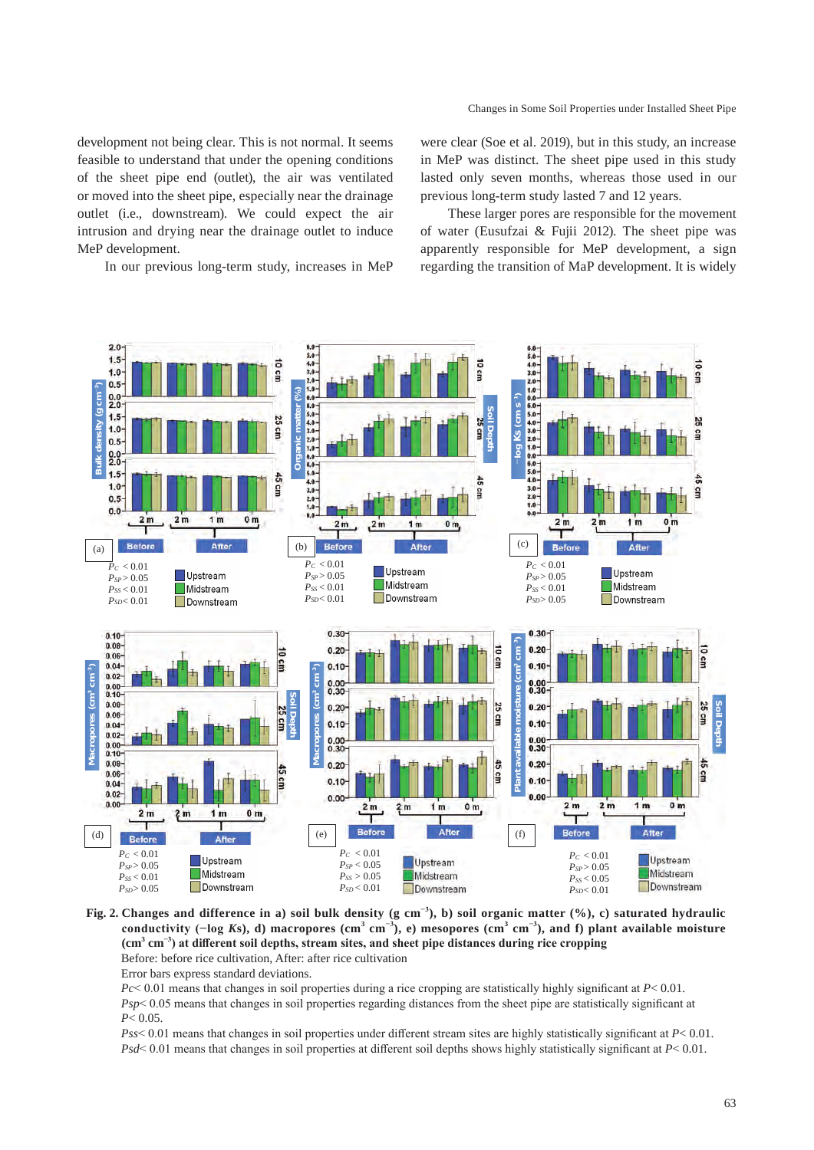development not being clear. This is not normal. It seems feasible to understand that under the opening conditions of the sheet pipe end (outlet), the air was ventilated or moved into the sheet pipe, especially near the drainage outlet (i.e., downstream). We could expect the air intrusion and drying near the drainage outlet to induce MeP development.

In our previous long-term study, increases in MeP

were clear (Soe et al. 2019), but in this study, an increase in MeP was distinct. The sheet pipe used in this study lasted only seven months, whereas those used in our previous long-term study lasted 7 and 12 years.

These larger pores are responsible for the movement of water (Eusufzai & Fujii 2012). The sheet pipe was apparently responsible for MeP development, a sign regarding the transition of MaP development. It is widely



## **Fig. 2. Changes and difference in a) soil bulk density (g cm−3), b) soil organic matter (%), c) saturated hydraulic**  conductivity ( $-\log K$ s), d) macropores (cm<sup>3</sup> cm<sup>-3</sup>), e) mesopores (cm<sup>3</sup> cm<sup>-3</sup>), and f) plant available moisture **(cm<sup>3</sup> cm−3) at different soil depths, stream sites, and sheet pipe distances during rice cropping** Before: before rice cultivation, After: after rice cultivation

Error bars express standard deviations.

*Pc*< 0.01 means that changes in soil properties during a rice cropping are statistically highly significant at *P*< 0.01. *Psp*< 0.05 means that changes in soil properties regarding distances from the sheet pipe are statistically significant at *P*< 0.05.

*Pss*< 0.01 means that changes in soil properties under different stream sites are highly statistically significant at *P*< 0.01. *Psd*< 0.01 means that changes in soil properties at different soil depths shows highly statistically significant at *P*< 0.01.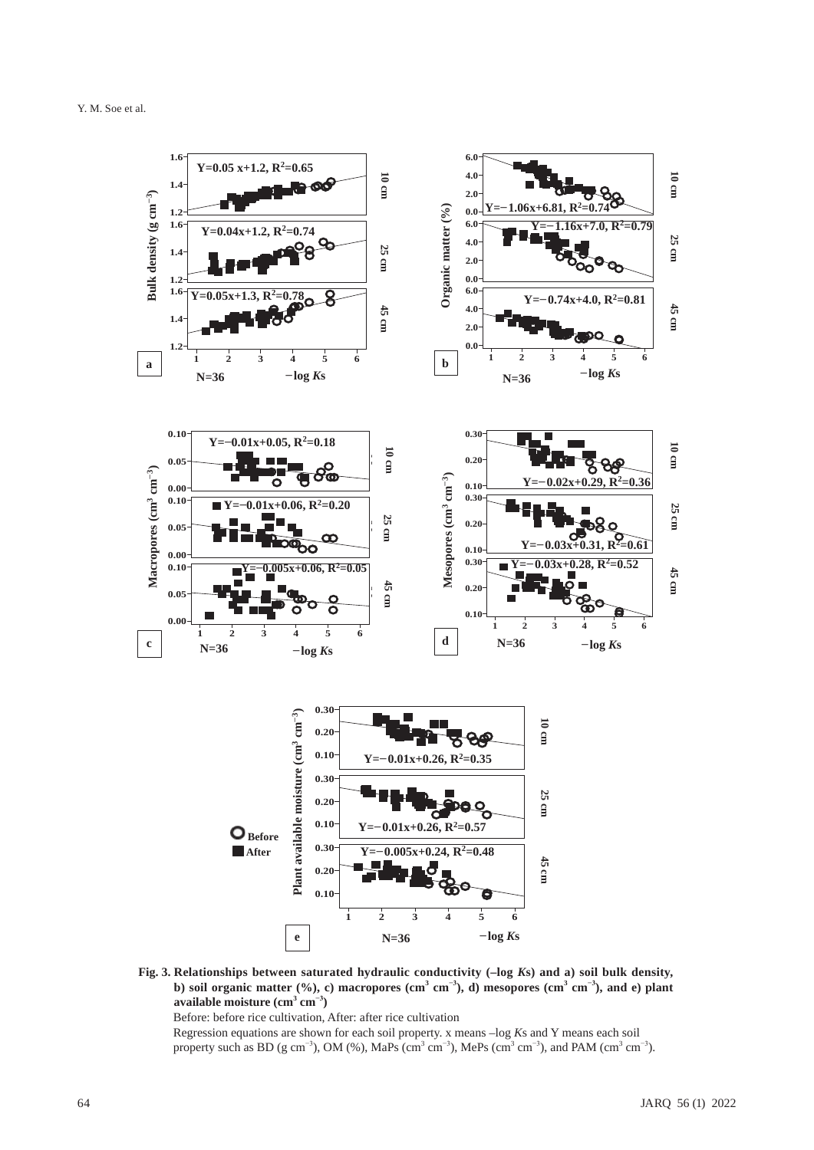

**Fig. 3. Relationships between saturated hydraulic conductivity (–log** *K***s) and a) soil bulk density, b**) soil organic matter (%), c) macropores (cm<sup>3</sup> cm<sup>-3</sup>), d) mesopores (cm<sup>3</sup> cm<sup>-3</sup>), and e) plant  $\mathbf{a}\mathbf{v}$ ailable moisture (cm $^3$  cm $^{-3}$ )

Before: before rice cultivation, After: after rice cultivation

Regression equations are shown for each soil property. x means –log *K*s and Y means each soil property such as BD (g cm<sup>-3</sup>), OM (%), MaPs (cm<sup>3</sup> cm<sup>-3</sup>), MePs (cm<sup>3</sup> cm<sup>-3</sup>), and PAM (cm<sup>3</sup> cm<sup>-3</sup>).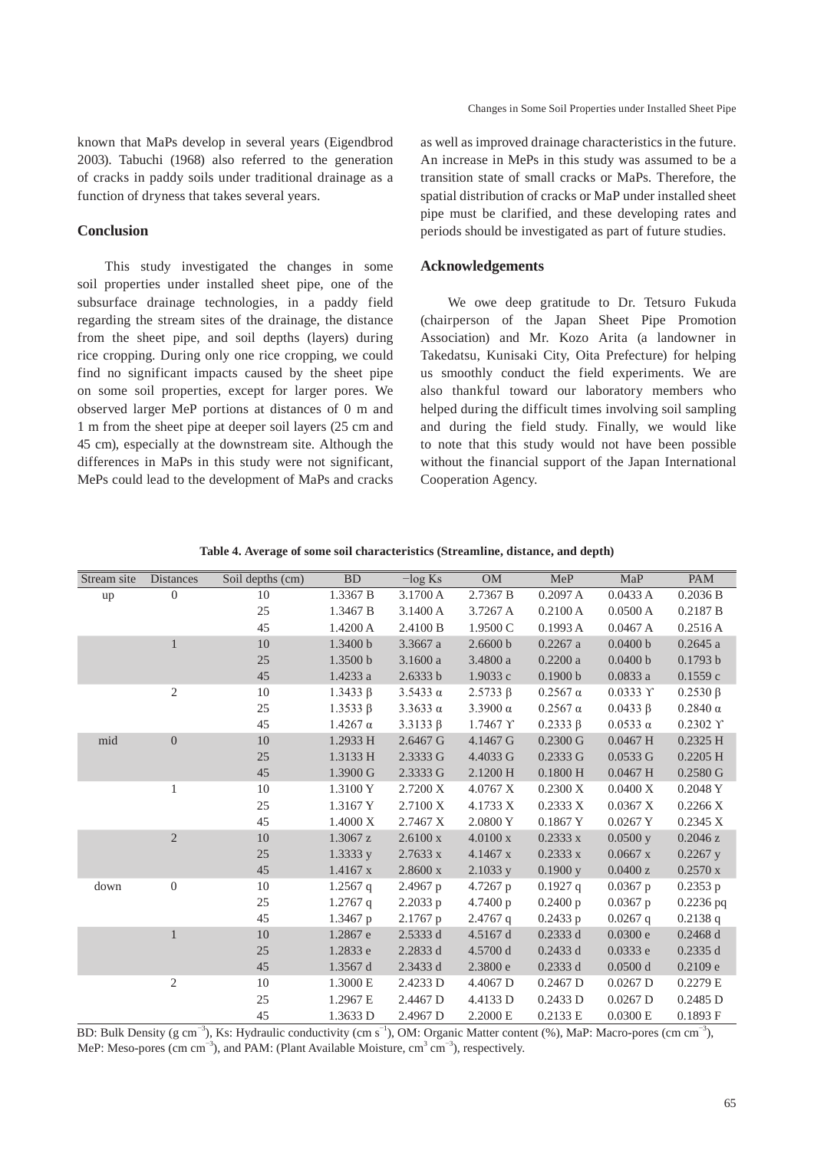known that MaPs develop in several years (Eigendbrod 2003). Tabuchi (1968) also referred to the generation of cracks in paddy soils under traditional drainage as a function of dryness that takes several years.

## **Conclusion**

This study investigated the changes in some soil properties under installed sheet pipe, one of the subsurface drainage technologies, in a paddy field regarding the stream sites of the drainage, the distance from the sheet pipe, and soil depths (layers) during rice cropping. During only one rice cropping, we could find no significant impacts caused by the sheet pipe on some soil properties, except for larger pores. We observed larger MeP portions at distances of 0 m and 1 m from the sheet pipe at deeper soil layers (25 cm and 45 cm), especially at the downstream site. Although the differences in MaPs in this study were not significant, MePs could lead to the development of MaPs and cracks

as well as improved drainage characteristics in the future. An increase in MePs in this study was assumed to be a transition state of small cracks or MaPs. Therefore, the spatial distribution of cracks or MaP under installed sheet pipe must be clarified, and these developing rates and periods should be investigated as part of future studies.

# **Acknowledgements**

We owe deep gratitude to Dr. Tetsuro Fukuda (chairperson of the Japan Sheet Pipe Promotion Association) and Mr. Kozo Arita (a landowner in Takedatsu, Kunisaki City, Oita Prefecture) for helping us smoothly conduct the field experiments. We are also thankful toward our laboratory members who helped during the difficult times involving soil sampling and during the field study. Finally, we would like to note that this study would not have been possible without the financial support of the Japan International Cooperation Agency.

| Stream site | <b>Distances</b> | Soil depths (cm) | <b>BD</b>       | $-\log Ks$      | <b>OM</b>       | MeP                | MaP                 | <b>PAM</b>          |
|-------------|------------------|------------------|-----------------|-----------------|-----------------|--------------------|---------------------|---------------------|
| up          | $\overline{0}$   | 10               | 1.3367 B        | 3.1700 A        | 2.7367 B        | 0.2097 A           | 0.0433 A            | 0.2036 B            |
|             |                  | 25               | 1.3467 B        | 3.1400 A        | 3.7267 A        | 0.2100 A           | 0.0500A             | 0.2187 B            |
|             |                  | 45               | 1.4200 A        | 2.4100 B        | 1.9500 C        | 0.1993 A           | 0.0467A             | 0.2516A             |
|             | $\mathbf{1}$     | 10               | 1.3400 b        | 3.3667 a        | 2.6600 b        | $0.2267$ a         | 0.0400 b            | 0.2645a             |
|             |                  | 25               | 1.3500 b        | 3.1600a         | 3.4800 a        | 0.2200a            | 0.0400 b            | 0.1793 b            |
|             |                  | 45               | 1.4233 a        | 2.6333 b        | 1.9033 c        | 0.1900 b           | 0.0833a             | 0.1559c             |
|             | $\overline{2}$   | 10               | 1.3433 $\beta$  | $3.5433 \alpha$ | $2.5733 \beta$  | $0.2567 \alpha$    | $0.0333$ $\Upsilon$ | $0.2530 \beta$      |
|             |                  | 25               | 1.3533B         | $3.3633 \alpha$ | $3.3900 \alpha$ | $0.2567 \alpha$    | 0.0433 B            | $0.2840 \alpha$     |
|             |                  | 45               | $1.4267 \alpha$ | $3.3133 \beta$  | 1.7467 Y        | $0.2333 \beta$     | $0.0533 \alpha$     | $0.2302$ $\Upsilon$ |
| mid         | $\overline{0}$   | 10               | 1.2933 H        | 2.6467 G        | 4.1467 G        | $0.2300 \text{ G}$ | $0.0467$ H          | $0.2325$ H          |
|             |                  | 25               | 1.3133 H        | 2.3333 G        | 4.4033 G        | 0.2333G            | 0.0533G             | $0.2205$ H          |
|             |                  | 45               | 1.3900 G        | 2.3333 G        | 2.1200 H        | 0.1800H            | $0.0467$ H          | 0.2580G             |
|             | $\mathbf{1}$     | 10               | 1.3100Y         | 2.7200 X        | 4.0767 X        | 0.2300 X           | 0.0400 X            | 0.2048 Y            |
|             |                  | 25               | 1.3167 Y        | 2.7100 X        | 4.1733 X        | 0.2333 X           | 0.0367 X            | 0.2266 X            |
|             |                  | 45               | 1.4000 X        | 2.7467 X        | 2.0800Y         | 0.1867 Y           | 0.0267 Y            | 0.2345 X            |
|             | $\overline{2}$   | 10               | 1.3067 z        | 2.6100 x        | 4.0100 x        | 0.2333 x           | $0.0500$ y          | 0.2046 z            |
|             |                  | 25               | 1.3333y         | 2.7633 x        | 4.1467 x        | 0.2333 x           | $0.0667$ x          | $0.2267$ y          |
|             |                  | 45               | $1.4167$ x      | 2.8600 x        | $2.1033$ y      | $0.1900$ y         | 0.0400 z            | 0.2570 x            |
| down        | $\theta$         | 10               | $1.2567$ q      | $2.4967$ p      | $4.7267$ p      | $0.1927$ q         | $0.0367$ p          | $0.2353$ p          |
|             |                  | 25               | $1.2767$ q      | 2.2033 p        | 4.7400 p        | 0.2400 p           | $0.0367$ p          | $0.2236$ pq         |
|             |                  | 45               | 1.3467 p        | 2.1767 p        | $2.4767$ q      | 0.2433 p           | $0.0267$ q          | 0.2138q             |
|             | $\mathbf{1}$     | 10               | 1.2867 e        | 2.5333 d        | 4.5167 d        | $0.2333$ d         | 0.0300 e            | 0.2468 d            |
|             |                  | 25               | 1.2833 e        | 2.2833 d        | 4.5700 d        | $0.2433$ d         | $0.0333$ e          | 0.2335 d            |
|             |                  | 45               | 1.3567 d        | 2.3433 d        | 2.3800 e        | $0.2333$ d         | $0.0500$ d          | 0.2109 e            |
|             | $\overline{2}$   | 10               | 1.3000 E        | 2.4233 D        | 4.4067 D        | $0.2467$ D         | $0.0267$ D          | 0.2279 E            |
|             |                  | 25               | 1.2967 E        | 2.4467 D        | 4.4133 D        | 0.2433 D           | $0.0267$ D          | $0.2485$ D          |
|             |                  | 45               | 1.3633 D        | 2.4967 D        | 2.2000 E        | 0.2133 E           | 0.0300 E            | 0.1893 F            |

**Table 4. Average of some soil characteristics (Streamline, distance, and depth)**

BD: Bulk Density (g cm<sup>-3</sup>), Ks: Hydraulic conductivity (cm s<sup>-1</sup>), OM: Organic Matter content (%), MaP: Macro-pores (cm cm<sup>-3</sup>), MeP: Meso-pores (cm cm<sup>-3</sup>), and PAM: (Plant Available Moisture, cm<sup>3</sup> cm<sup>-3</sup>), respectively.